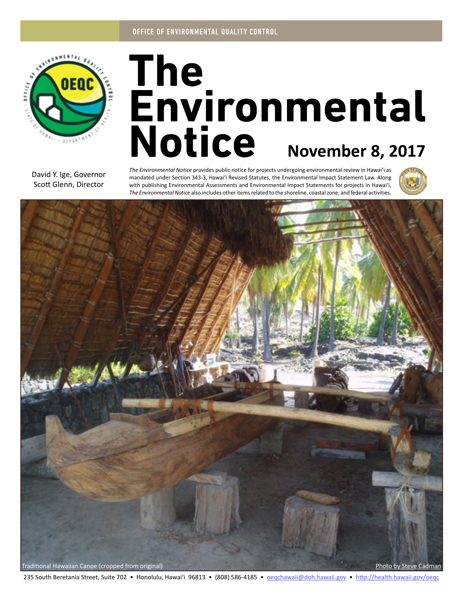

# The<br>Environmental Notice November 8, 2017

David Y. Ige, Governor Scott Glenn, Director

*The Environmental Notice* provides public notice for projects undergoing environmental review in Hawaiʻi as mandated under Section 343-3, Hawaiʻi Revised Statutes, the Environmental Impact Statement Law. Along with publishing Environmental Assessments and Environmental Impact Statements for projects in Hawaiʻi, *The Environmental Notice* also includes other items related to the shoreline, coastal zone, and federal activities.





235 South Beretania Street, Suite 702 • Honolulu, Hawai'i 96813 • (808) 586-4185 • oegchawaii@doh.hawaii.gov • http://health.hawaii.gov/oegc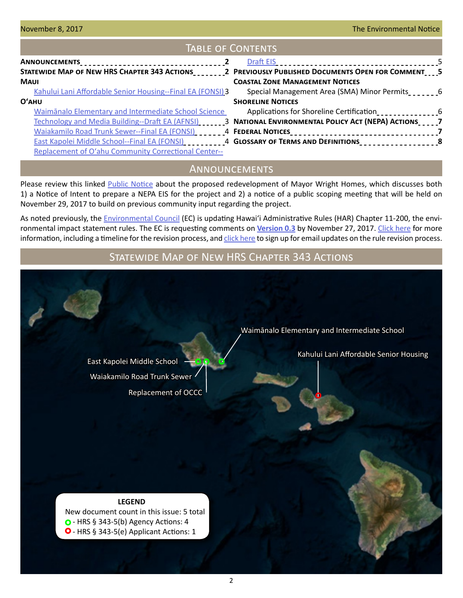## Table of Contents

| STATEWIDE MAP OF NEW HRS CHAPTER 343 ACTIONS 2 PREVIOUSLY PUBLISHED DOCUMENTS OPEN FOR COMMENT 5 |                                                                                                                 |  |
|--------------------------------------------------------------------------------------------------|-----------------------------------------------------------------------------------------------------------------|--|
| <b>MAUI</b>                                                                                      | <b>COASTAL ZONE MANAGEMENT NOTICES</b>                                                                          |  |
| Kahului Lani Affordable Senior Housing--Final EA (FONSI) 3                                       | Special Management Area (SMA) Minor Permits                                                                     |  |
| $O'$ AHU                                                                                         | <b>SHORELINE NOTICES</b>                                                                                        |  |
| Waimānalo Elementary and Intermediate School Science                                             | Applications for Shoreline Certification                                                                        |  |
|                                                                                                  | Technology and Media Building--Draft EA (AFNSI) _______3 NATIONAL ENVIRONMENTAL POLICY ACT (NEPA) ACTIONS_____7 |  |
|                                                                                                  |                                                                                                                 |  |
|                                                                                                  |                                                                                                                 |  |
| <b>Replacement of O'ahu Community Correctional Center--</b>                                      |                                                                                                                 |  |

# Announcements

Please review this linked [Public Notice](http://oeqc2.doh.hawaii.gov/Other_TEN_Publications/2017-11-08-MWH-NOI-11-mail.pdf) about the proposed redevelopment of Mayor Wright Homes, which discusses both 1) a Notice of Intent to prepare a NEPA EIS for the project and 2) a notice of a public scoping meeting that will be held on November 29, 2017 to build on previous community input regarding the project.

As noted previously, the [Environmental Council](http://health.hawaii.gov/oeqc/environmental-council/) (EC) is updating Hawai'i Administrative Rules (HAR) Chapter 11-200, the environmental impact statement rules. The EC is requesting comments on **[Version 0.3](https://oeqc.civicomment.org/version-03-har-11-200a)** by November 27, 2017. [Click here](http://health.hawaii.gov/oeqc/rules-update/) for more information, including a timeline for the revision process, and [click here](http://eepurl.com/cYjIuL) to sign up for email updates on the rule revision process.

# Statewide Map of New HRS Chapter 343 Actions

[Replacement of OCCC](#page-4-0) [Waiakamilo Road Trunk Sewer](#page-3-0)

[Waimānalo Elementary and Intermediate School](#page-2-0)

[East Kapolei Middle School](#page-3-0) **- O<sub>.</sub>p** of the senior Housing [Kahului Lani Affordable Senior Housing](#page-2-0)

#### **LEGEND**

 New document count in this issue: 5 total  $\bigcirc$  - HRS § 343-5(b) Agency Actions: 4 **O** - HRS § 343-5(e) Applicant Actions: 1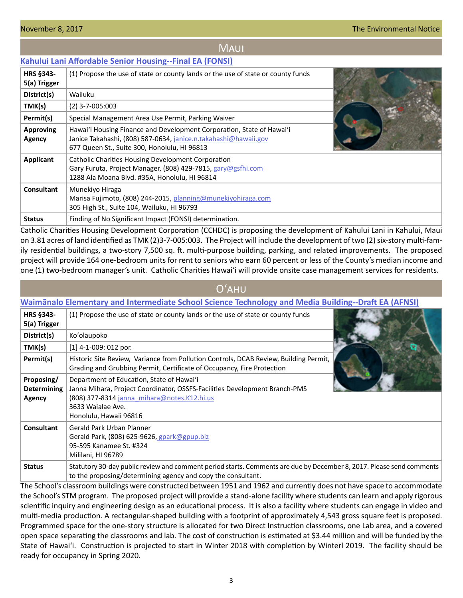## **MAUI**

## <span id="page-2-0"></span>**[Kahului Lani Affordable Senior Housing--Final EA \(FONSI\)](http://oeqc2.doh.hawaii.gov/EA_EIS_Library/2017-11-08-MA-FEA-Kahului-Lani-Affordable-Senior-Housing.pdf)**

| HRS §343-<br>5(a) Trigger  | (1) Propose the use of state or county lands or the use of state or county funds                                                                                                         |  |
|----------------------------|------------------------------------------------------------------------------------------------------------------------------------------------------------------------------------------|--|
| District(s)                | Wailuku                                                                                                                                                                                  |  |
| TMK(s)                     | $(2)$ 3-7-005:003                                                                                                                                                                        |  |
| Permit(s)                  | Special Management Area Use Permit, Parking Waiver                                                                                                                                       |  |
| <b>Approving</b><br>Agency | Hawai'i Housing Finance and Development Corporation, State of Hawai'i<br>Janice Takahashi, (808) 587-0634, janice.n.takahashi@hawaii.gov<br>677 Queen St., Suite 300, Honolulu, HI 96813 |  |
| Applicant                  | Catholic Charities Housing Development Corporation<br>Gary Furuta, Project Manager, (808) 429-7815, gary@gsfhi.com<br>1288 Ala Moana Blvd. #35A, Honolulu, HI 96814                      |  |
| <b>Consultant</b>          | Munekiyo Hiraga<br>Marisa Fujimoto, (808) 244-2015, planning@munekiyohiraga.com<br>305 High St., Suite 104, Wailuku, HI 96793                                                            |  |
| <b>Status</b>              | Finding of No Significant Impact (FONSI) determination.                                                                                                                                  |  |

Catholic Charities Housing Development Corporation (CCHDC) is proposing the development of Kahului Lani in Kahului, Maui on 3.81 acres of land identified as TMK (2)3-7-005:003. The Project will include the development of two (2) six-story multi-family residential buildings, a two-story 7,500 sq. ft. multi-purpose building, parking, and related improvements. The proposed project will provide 164 one-bedroom units for rent to seniors who earn 60 percent or less of the County's median income and one (1) two-bedroom manager's unit. Catholic Charities Hawai'i will provide onsite case management services for residents.

## Oʻahu

## **Waim[ānalo Elementary and Intermediate School Science Technology and Media Building--Draft EA \(AFNSI\)](http://oeqc2.doh.hawaii.gov/EA_EIS_Library/2017-11-08-OA-DEA-Waimanalo-Elem-and-Int-School-STM-Building.pdf)**

| <b>HRS §343-</b><br>5(a) Trigger           | (1) Propose the use of state or county lands or the use of state or county funds                                                                                                                                      |  |
|--------------------------------------------|-----------------------------------------------------------------------------------------------------------------------------------------------------------------------------------------------------------------------|--|
| District(s)                                | Ko'olaupoko                                                                                                                                                                                                           |  |
| TMK(s)                                     | $[1]$ 4-1-009: 012 por.                                                                                                                                                                                               |  |
| Permit(s)                                  | Historic Site Review, Variance from Pollution Controls, DCAB Review, Building Permit,<br>Grading and Grubbing Permit, Certificate of Occupancy, Fire Protection                                                       |  |
| Proposing/<br><b>Determining</b><br>Agency | Department of Education, State of Hawai'i<br>Janna Mihara, Project Coordinator, OSSFS-Facilities Development Branch-PMS<br>(808) 377-8314 janna mihara@notes.K12.hi.us<br>3633 Waialae Ave.<br>Honolulu, Hawaii 96816 |  |
| Consultant                                 | Gerald Park Urban Planner<br>Gerald Park, (808) 625-9626, gpark@gpup.biz<br>95-595 Kanamee St. #324<br>Mililani, HI 96789                                                                                             |  |
| <b>Status</b>                              | Statutory 30-day public review and comment period starts. Comments are due by December 8, 2017. Please send comments<br>to the proposing/determining agency and copy the consultant.                                  |  |

The School's classroom buildings were constructed between 1951 and 1962 and currently does not have space to accommodate the School's STM program. The proposed project will provide a stand-alone facility where students can learn and apply rigorous scientific inquiry and engineering design as an educational process. It is also a facility where students can engage in video and multi-media production. A rectangular-shaped building with a footprint of approximately 4,543 gross square feet is proposed. Programmed space for the one-story structure is allocated for two Direct Instruction classrooms, one Lab area, and a covered open space separating the classrooms and lab. The cost of construction is estimated at \$3.44 million and will be funded by the State of Hawai'i. Construction is projected to start in Winter 2018 with completion by Winterl 2019. The facility should be ready for occupancy in Spring 2020.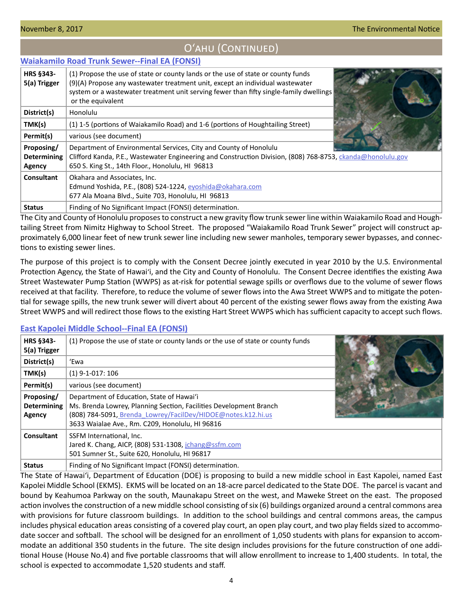#### <span id="page-3-0"></span>**[Waiakamilo Road Trunk Sewer--Final EA \(FONSI\)](http://oeqc2.doh.hawaii.gov/EA_EIS_Library/2017-11-08-OA-FEA-Waiakamilo-Road-Trunk-Sewer.pdf) HRS §343- 5(a) Trigger** (1) Propose the use of state or county lands or the use of state or county funds (9)(A) Propose any wastewater treatment unit, except an individual wastewater system or a wastewater treatment unit serving fewer than fifty single-family dwellings or the equivalent **District(s)** | Honolulu **TMK(s)** (1) 1-5 (portions of Waiakamilo Road) and 1-6 (portions of Houghtailing Street) **Permit(s)** | various (see document) **Proposing/ Determining Agency** Department of Environmental Services, City and County of Honolulu Clifford Kanda, P.E., Wastewater Engineering and Construction Division, (808) 768-8753, *[ckanda@honolulu.gov](mailto:ckanda%40honolulu.gov?subject=)* 650 S. King St., 14th Floor., Honolulu, HI 96813 **Consultant** | Okahara and Associates, Inc. Edmund Yoshida, P.E., (808) 524-1224, [eyoshida@okahara.com](mailto:eyoshida%40okahara.com?subject=) 677 Ala Moana Blvd., Suite 703, Honolulu, HI 96813 **Status** | Finding of No Significant Impact (FONSI) determination.

Oʻahu (Continued)

The City and County of Honolulu proposes to construct a new gravity flow trunk sewer line within Waiakamilo Road and Houghtailing Street from Nimitz Highway to School Street. The proposed "Waiakamilo Road Trunk Sewer" project will construct approximately 6,000 linear feet of new trunk sewer line including new sewer manholes, temporary sewer bypasses, and connections to existing sewer lines.

The purpose of this project is to comply with the Consent Decree jointly executed in year 2010 by the U.S. Environmental Protection Agency, the State of Hawaiʻi, and the City and County of Honolulu. The Consent Decree identifies the existing Awa Street Wastewater Pump Station (WWPS) as at-risk for potential sewage spills or overflows due to the volume of sewer flows received at that facility. Therefore, to reduce the volume of sewer flows into the Awa Street WWPS and to mitigate the potential for sewage spills, the new trunk sewer will divert about 40 percent of the existing sewer flows away from the existing Awa Street WWPS and will redirect those flows to the existing Hart Street WWPS which has sufficient capacity to accept such flows.

## **[East Kapolei Middle School--Final EA \(FONSI\)](http://oeqc2.doh.hawaii.gov/EA_EIS_Library/2017-11-08-OA-FEA-East-Kapolei-Middle-School.pdf)**

| <b>HRS §343-</b><br>5(a) Trigger           | (1) Propose the use of state or county lands or the use of state or county funds                                                                                                                                                   |  |
|--------------------------------------------|------------------------------------------------------------------------------------------------------------------------------------------------------------------------------------------------------------------------------------|--|
| District(s)                                | 'Ewa                                                                                                                                                                                                                               |  |
| TMK(s)                                     | $(1)$ 9-1-017: 106                                                                                                                                                                                                                 |  |
| Permit(s)                                  | various (see document)                                                                                                                                                                                                             |  |
| Proposing/<br><b>Determining</b><br>Agency | Department of Education, State of Hawai'i<br>Ms. Brenda Lowrey, Planning Section, Facilities Development Branch<br>(808) 784-5091, Brenda Lowrey/FacilDev/HIDOE@notes.k12.hi.us<br>3633 Waialae Ave., Rm. C209, Honolulu, HI 96816 |  |
| <b>Consultant</b>                          | SSFM International, Inc.<br>Jared K. Chang, AICP, (808) 531-1308, jchang@ssfm.com<br>501 Sumner St., Suite 620, Honolulu, HI 96817                                                                                                 |  |
| <b>Status</b>                              | Finding of No Significant Impact (FONSI) determination.                                                                                                                                                                            |  |

The State of Hawaiʻi, Department of Education (DOE) is proposing to build a new middle school in East Kapolei, named East Kapolei Middle School (EKMS). EKMS will be located on an 18-acre parcel dedicated to the State DOE. The parcel is vacant and bound by Keahumoa Parkway on the south, Maunakapu Street on the west, and Maweke Street on the east. The proposed action involves the construction of a new middle school consisting of six (6) buildings organized around a central commons area with provisions for future classroom buildings. In addition to the school buildings and central commons areas, the campus includes physical education areas consisting of a covered play court, an open play court, and two play fields sized to accommodate soccer and softball. The school will be designed for an enrollment of 1,050 students with plans for expansion to accommodate an additional 350 students in the future. The site design includes provisions for the future construction of one additional House (House No.4) and five portable classrooms that will allow enrollment to increase to 1,400 students. In total, the school is expected to accommodate 1,520 students and staff.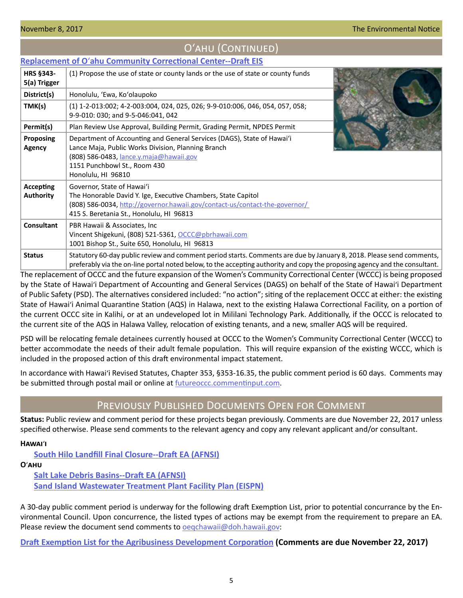## Oʻahu (Continued)

## <span id="page-4-0"></span>**Replacement of O**ʻ**[ahu Community Correctional Center--Draft EIS](http://oeqc2.doh.hawaii.gov/EA_EIS_Library/2017-11-08-OA-DEIS-Replacement-of-Oahu-Community-Correctional-Center.pdf)**

| <b>HRS §343-</b><br>5(a) Trigger | (1) Propose the use of state or county lands or the use of state or county funds                                                                                                                                                                    |  |
|----------------------------------|-----------------------------------------------------------------------------------------------------------------------------------------------------------------------------------------------------------------------------------------------------|--|
| District(s)                      | Honolulu, 'Ewa, Ko'olaupoko                                                                                                                                                                                                                         |  |
| TMK(s)                           | (1) 1-2-013:002; 4-2-003:004, 024, 025, 026; 9-9-010:006, 046, 054, 057, 058;<br>9-9-010: 030; and 9-5-046:041, 042                                                                                                                                 |  |
| Permit(s)                        | Plan Review Use Approval, Building Permit, Grading Permit, NPDES Permit                                                                                                                                                                             |  |
| <b>Proposing</b><br>Agency       | Department of Accounting and General Services (DAGS), State of Hawai'i<br>Lance Maja, Public Works Division, Planning Branch<br>(808) 586-0483, <i>lance.y.maja@hawaii.gov</i><br>1151 Punchbowl St., Room 430<br>Honolulu, HI 96810                |  |
| Accepting<br><b>Authority</b>    | Governor, State of Hawai'i<br>The Honorable David Y. Ige, Executive Chambers, State Capitol<br>(808) 586-0034, http://governor.hawaii.gov/contact-us/contact-the-governor/<br>415 S. Beretania St., Honolulu, HI 96813                              |  |
| <b>Consultant</b>                | PBR Hawaii & Associates, Inc.<br>Vincent Shigekuni, (808) 521-5361, OCCC@pbrhawaii.com<br>1001 Bishop St., Suite 650, Honolulu, HI 96813                                                                                                            |  |
| <b>Status</b>                    | Statutory 60-day public review and comment period starts. Comments are due by January 8, 2018. Please send comments,<br>preferably via the on-line portal noted below, to the accepting authority and copy the proposing agency and the consultant. |  |

The replacement of OCCC and the future expansion of the Women's Community Correctional Center (WCCC) is being proposed by the State of Hawaiʻi Department of Accounting and General Services (DAGS) on behalf of the State of Hawaiʻi Department of Public Safety (PSD). The alternatives considered included: "no action"; siting of the replacement OCCC at either: the existing State of Hawaiʻi Animal Quarantine Station (AQS) in Halawa, next to the existing Halawa Correctional Facility, on a portion of the current OCCC site in Kalihi, or at an undeveloped lot in Mililani Technology Park. Additionally, if the OCCC is relocated to the current site of the AQS in Halawa Valley, relocation of existing tenants, and a new, smaller AQS will be required.

PSD will be relocating female detainees currently housed at OCCC to the Women's Community Correctional Center (WCCC) to better accommodate the needs of their adult female population. This will require expansion of the existing WCCC, which is included in the proposed action of this draft environmental impact statement.

In accordance with Hawaiʻi Revised Statutes, Chapter 353, §353-16.35, the public comment period is 60 days. Comments may be submitted through postal mail or online at [futureoccc.commentinput.com](http://futureoccc.commentinput.com).

## Previously Published Documents Open for Comment

**Status:** Public review and comment period for these projects began previously. Comments are due November 22, 2017 unless specified otherwise. Please send comments to the relevant agency and copy any relevant applicant and/or consultant.

**Hawai**'**i**

**[South Hilo Landfill Final Closure--Draft EA \(AFNSI\)](http://oeqc2.doh.hawaii.gov/EA_EIS_Library/2017-10-23-HA-DEA-South-Hilo-Landfill-Final-Closure.pdf)**

#### **O**'**ahu**

**[Salt Lake Debris Basins--Draft EA \(AFNSI\)](http://oeqc2.doh.hawaii.gov/EA_EIS_Library/2017-10-23-OA-DEA-Salt-Lake-Debris-Basins.pdf)**

**[Sand Island Wastewater Treatment Plant Facility Plan \(EISPN\)](http://oeqc2.doh.hawaii.gov/EA_EIS_Library/2017-10-23-OA-EISPN-Sand-Island-Wastewater-Treatment-Plant-Facility-Plan.pdf)**

A 30-day public comment period is underway for the following draft Exemption List, prior to potential concurrance by the Environmental Council. Upon concurrence, the listed types of actions may be exempt from the requirement to prepare an EA. Please review the document send comments to **oegchawaii@doh.hawaii.gov**:

**[Draft Exemption List for the Agribusiness Development Corporation](http://oeqc2.doh.hawaii.gov/Agency_Exemption_Lists/State-Department-of-Agriculture-Agribusiness-Development-Corp-Exemption-List-2017-10-23-Public-Review.pdf) (Comments are due November 22, 2017)**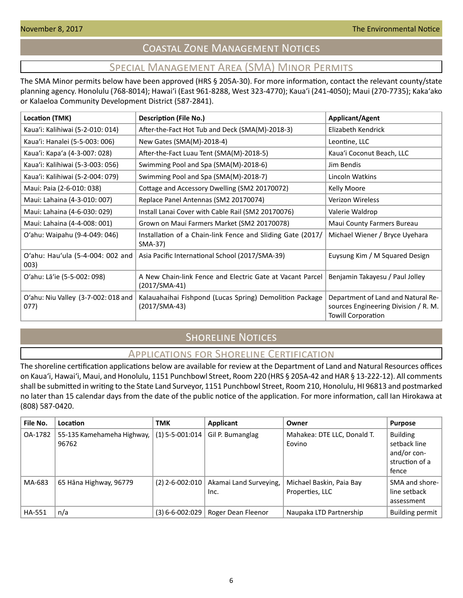# Coastal Zone Management Notices

# Special Management Area (SMA) Minor Permits

<span id="page-5-0"></span>The SMA Minor permits below have been approved (HRS § 205A-30). For more information, contact the relevant county/state planning agency. Honolulu (768-8014); Hawaiʻi (East 961-8288, West 323-4770); Kauaʻi (241-4050); Maui (270-7735); Kakaʻako or Kalaeloa Community Development District (587-2841).

| <b>Location (TMK)</b>                       | <b>Description (File No.)</b>                                              | <b>Applicant/Agent</b>                                                                                  |
|---------------------------------------------|----------------------------------------------------------------------------|---------------------------------------------------------------------------------------------------------|
| Kaua'i: Kalihiwai (5-2-010: 014)            | After-the-Fact Hot Tub and Deck (SMA(M)-2018-3)                            | Elizabeth Kendrick                                                                                      |
| Kaua'i: Hanalei (5-5-003: 006)              | New Gates (SMA(M)-2018-4)                                                  | Leontine, LLC                                                                                           |
| Kaua'i: Kapa'a (4-3-007: 028)               | After-the-Fact Luau Tent (SMA(M)-2018-5)                                   | Kaua'i Coconut Beach, LLC                                                                               |
| Kaua'i: Kalihiwai (5-3-003: 056)            | Swimming Pool and Spa (SMA(M)-2018-6)                                      | Jim Bendis                                                                                              |
| Kaua'i: Kalihiwai (5-2-004: 079)            | Swimming Pool and Spa (SMA(M)-2018-7)                                      | Lincoln Watkins                                                                                         |
| Maui: Paia (2-6-010: 038)                   | Cottage and Accessory Dwelling (SM2 20170072)                              | Kelly Moore                                                                                             |
| Maui: Lahaina (4-3-010: 007)                | Replace Panel Antennas (SM2 20170074)                                      | <b>Verizon Wireless</b>                                                                                 |
| Maui: Lahaina (4-6-030: 029)                | Install Lanai Cover with Cable Rail (SM2 20170076)                         | Valerie Waldrop                                                                                         |
| Maui: Lahaina (4-4-008: 001)                | Grown on Maui Farmers Market (SM2 20170078)                                | Maui County Farmers Bureau                                                                              |
| O'ahu: Waipahu (9-4-049: 046)               | Installation of a Chain-link Fence and Sliding Gate (2017/<br>SMA-37)      | Michael Wiener / Bryce Uyehara                                                                          |
| O'ahu: Hau'ula (5-4-004: 002 and<br>003)    | Asia Pacific International School (2017/SMA-39)                            | Euysung Kim / M Squared Design                                                                          |
| O'ahu: Lā'ie (5-5-002: 098)                 | A New Chain-link Fence and Electric Gate at Vacant Parcel<br>(2017/SMA-41) | Benjamin Takayesu / Paul Jolley                                                                         |
| O'ahu: Niu Valley (3-7-002: 018 and<br>077) | Kalauahaihai Fishpond (Lucas Spring) Demolition Package<br>(2017/SMA-43)   | Department of Land and Natural Re-<br>sources Engineering Division / R. M.<br><b>Towill Corporation</b> |

# **SHORELINE NOTICES**

## Applications for Shoreline Certification

The shoreline certification applications below are available for review at the Department of Land and Natural Resources offices on Kauaʻi, Hawaiʻi, Maui, and Honolulu, 1151 Punchbowl Street, Room 220 (HRS § 205A-42 and HAR § 13-222-12). All comments shall be submitted in writing to the State Land Surveyor, 1151 Punchbowl Street, Room 210, Honolulu, HI 96813 and postmarked no later than 15 calendar days from the date of the public notice of the application. For more information, call Ian Hirokawa at (808) 587-0420.

| File No.      | Location                            | <b>TMK</b>            | Applicant                      | Owner                                       | <b>Purpose</b>                                                            |
|---------------|-------------------------------------|-----------------------|--------------------------------|---------------------------------------------|---------------------------------------------------------------------------|
| OA-1782       | 55-135 Kamehameha Highway,<br>96762 | $(1)$ 5-5-001:014     | Gil P. Bumanglag               | Mahakea: DTE LLC, Donald T.<br>Eovino       | <b>Building</b><br>setback line<br>and/or con-<br>struction of a<br>fence |
| MA-683        | 65 Hāna Highway, 96779              | $(2)$ 2-6-002:010     | Akamai Land Surveying,<br>Inc. | Michael Baskin, Paia Bay<br>Properties, LLC | SMA and shore-<br>line setback<br>assessment                              |
| <b>HA-551</b> | n/a                                 | $(3) 6 - 6 - 002:029$ | Roger Dean Fleenor             | Naupaka LTD Partnership                     | Building permit                                                           |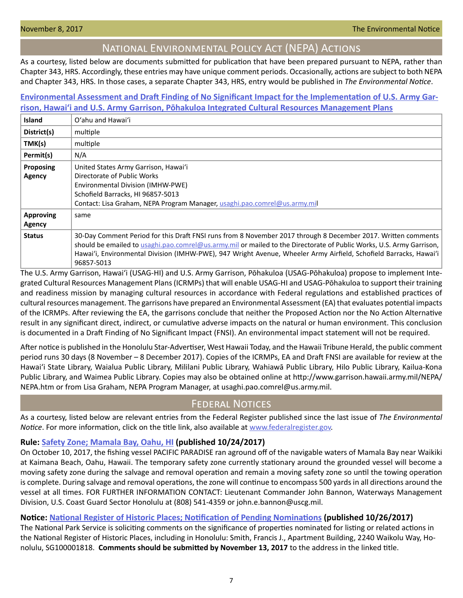## National Environmental Policy Act (NEPA) Actions

<span id="page-6-0"></span>As a courtesy, listed below are documents submitted for publication that have been prepared pursuant to NEPA, rather than Chapter 343, HRS. Accordingly, these entries may have unique comment periods. Occasionally, actions are subject to both NEPA and Chapter 343, HRS. In those cases, a separate Chapter 343, HRS, entry would be published in *The Environmental Notice*.

## **[Environmental Assessment and Draft Finding of No Significant Impact for the Implementation of U.S. Army Gar](http://oeqc2.doh.hawaii.gov/Other_TEN_Publications/2017-11-08-OA-HA-NEPA-DEA-Army%20ICRMPs.pdf)[rison, Hawai'i and U.S. Army Garrison, Pōhakuloa Integrated Cultural Resources Management Plans](http://oeqc2.doh.hawaii.gov/Other_TEN_Publications/2017-11-08-OA-HA-NEPA-DEA-Army%20ICRMPs.pdf)**

| Island                            | O'ahu and Hawai'i                                                                                                                                                                                                                                                                                                                                                        |
|-----------------------------------|--------------------------------------------------------------------------------------------------------------------------------------------------------------------------------------------------------------------------------------------------------------------------------------------------------------------------------------------------------------------------|
| District(s)                       | multiple                                                                                                                                                                                                                                                                                                                                                                 |
| TMK(s)                            | multiple                                                                                                                                                                                                                                                                                                                                                                 |
| Permit(s)                         | N/A                                                                                                                                                                                                                                                                                                                                                                      |
| Proposing<br><b>Agency</b>        | United States Army Garrison, Hawai'i<br>Directorate of Public Works<br>Environmental Division (IMHW-PWE)<br>Schofield Barracks, HI 96857-5013<br>Contact: Lisa Graham, NEPA Program Manager, usaghi.pao.comrel@us.army.mil                                                                                                                                               |
| <b>Approving</b><br><b>Agency</b> | same                                                                                                                                                                                                                                                                                                                                                                     |
| <b>Status</b>                     | 30-Day Comment Period for this Draft FNSI runs from 8 November 2017 through 8 December 2017. Written comments<br>should be emailed to usaghi.pao.comrel@us.army.mil or mailed to the Directorate of Public Works, U.S. Army Garrison,<br>Hawai'i, Environmental Division (IMHW-PWE), 947 Wright Avenue, Wheeler Army Airfield, Schofield Barracks, Hawai'i<br>96857-5013 |

The U.S. Army Garrison, Hawai'i (USAG-HI) and U.S. Army Garrison, Pōhakuloa (USAG-Pōhakuloa) propose to implement Integrated Cultural Resources Management Plans (ICRMPs) that will enable USAG-HI and USAG-Pōhakuloa to support their training and readiness mission by managing cultural resources in accordance with Federal regulations and established practices of cultural resources management. The garrisons have prepared an Environmental Assessment (EA) that evaluates potential impacts of the ICRMPs. After reviewing the EA, the garrisons conclude that neither the Proposed Action nor the No Action Alternative result in any significant direct, indirect, or cumulative adverse impacts on the natural or human environment. This conclusion is documented in a Draft Finding of No Significant Impact (FNSI). An environmental impact statement will not be required.

After notice is published in the Honolulu Star-Advertiser, West Hawaii Today, and the Hawaii Tribune Herald, the public comment period runs 30 days (8 November – 8 December 2017). Copies of the ICRMPs, EA and Draft FNSI are available for review at the Hawai'i State Library, Waialua Public Library, Mililani Public Library, Wahiawā Public Library, Hilo Public Library, Kailua-Kona Public Library, and Waimea Public Library. Copies may also be obtained online at http://www.garrison.hawaii.army.mil/NEPA/ NEPA.htm or from Lisa Graham, NEPA Program Manager, at usaghi.pao.comrel@us.army.mil.

## Federal Notices

As a courtesy, listed below are relevant entries from the Federal Register published since the last issue of *The Environmental Notice*. For more information, click on the title link, also available at [www.federalregister.gov.](http://www.federalregister.gov)

## **Rule: [Safety Zone; Mamala Bay, Oahu, HI](http://Safety Zone; Mamhttps://www.federalregister.gov/documents/2017/10/24/2017-22992/safety-zone-mamala-bay-oahu-hiala Bay, Oahu, HI) (published 10/24/2017)**

On October 10, 2017, the fishing vessel PACIFIC PARADISE ran aground off of the navigable waters of Mamala Bay near Waikiki at Kaimana Beach, Oahu, Hawaii. The temporary safety zone currently stationary around the grounded vessel will become a moving safety zone during the salvage and removal operation and remain a moving safety zone so until the towing operation is complete. During salvage and removal operations, the zone will continue to encompass 500 yards in all directions around the vessel at all times. FOR FURTHER INFORMATION CONTACT: Lieutenant Commander John Bannon, Waterways Management Division, U.S. Coast Guard Sector Honolulu at (808) 541-4359 or john.e.bannon@uscg.mil.

## **Notice: [National Register of Historic Places; Notification of Pending Nominations](https://www.federalregister.gov/documents/2017/10/26/2017-23332/national-register-of-historic-places-notification-of-pending-nominations-and-related-actions) (published 10/26/2017)**

The National Park Service is soliciting comments on the significance of properties nominated for listing or related actions in the National Register of Historic Places, including in Honolulu: Smith, Francis J., Apartment Building, 2240 Waikolu Way, Honolulu, SG100001818. **Comments should be submitted by November 13, 2017** to the address in the linked title.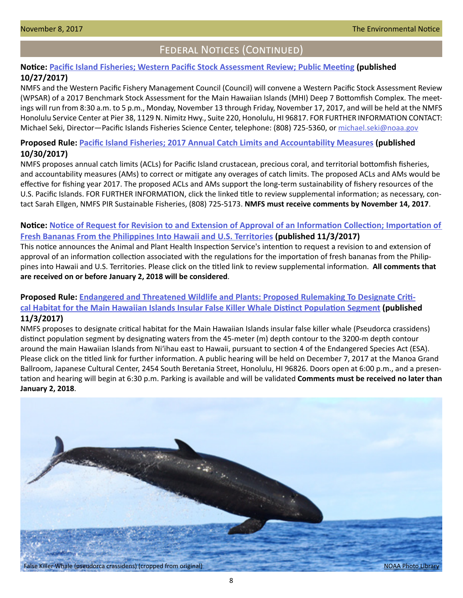# Federal Notices (Continued)

## **Notice: [Pacific Island Fisheries; Western Pacific Stock Assessment Review; Public Meeting](https://www.federalregister.gov/documents/2017/10/27/2017-23422/pacific-island-fisheries-western-pacific-stock-assessment-review-public-meeting) (published 10/27/2017)**

NMFS and the Western Pacific Fishery Management Council (Council) will convene a Western Pacific Stock Assessment Review (WPSAR) of a 2017 Benchmark Stock Assessment for the Main Hawaiian Islands (MHI) Deep 7 Bottomfish Complex. The meetings will run from 8:30 a.m. to 5 p.m., Monday, November 13 through Friday, November 17, 2017, and will be held at the NMFS Honolulu Service Center at Pier 38, 1129 N. Nimitz Hwy., Suite 220, Honolulu, HI 96817. FOR FURTHER INFORMATION CONTACT: Michael Seki, Director—Pacific Islands Fisheries Science Center, telephone: (808) 725-5360, or [michael.seki@noaa.gov](mailto:michael.seki%40noaa.gov?subject=)

## **Proposed Rule: [Pacific Island Fisheries; 2017 Annual Catch Limits and Accountability Measures](http://Pacific Island https://www.federalregister.gov/documents/2017/10/30/2017-23457/pacific-island-fisheries-2017-annual-catch-limits-and-accountability-measuresFisheries; 2017 Annual Catch Limits and Accountability Measures) (published 10/30/2017)**

NMFS proposes annual catch limits (ACLs) for Pacific Island crustacean, precious coral, and territorial bottomfish fisheries, and accountability measures (AMs) to correct or mitigate any overages of catch limits. The proposed ACLs and AMs would be effective for fishing year 2017. The proposed ACLs and AMs support the long-term sustainability of fishery resources of the U.S. Pacific Islands. FOR FURTHER INFORMATION, click the linked title to review supplemental information; as necessary, contact Sarah Ellgen, NMFS PIR Sustainable Fisheries, (808) 725-5173. **NMFS must receive comments by November 14, 2017**.

## **Notice: [Notice of Request for Revision to and Extension of Approval of an Information Collection; Importation of](https://www.federalregister.gov/documents/2017/11/03/2017-23995/notice-of-request-for-revision-to-and-extension-of-approval-of-an-information-collection-importation)  [Fresh Bananas From the Philippines Into Hawaii and U.S. Territories](https://www.federalregister.gov/documents/2017/11/03/2017-23995/notice-of-request-for-revision-to-and-extension-of-approval-of-an-information-collection-importation) (published 11/3/2017)**

This notice announces the Animal and Plant Health Inspection Service's intention to request a revision to and extension of approval of an information collection associated with the regulations for the importation of fresh bananas from the Philippines into Hawaii and U.S. Territories. Please click on the titled link to review supplemental information. **All comments that are received on or before January 2, 2018 will be considered**.

## **Proposed Rule: [Endangered and Threatened Wildlife and Plants: Proposed Rulemaking To Designate Criti](https://www.federalregister.gov/documents/2017/11/03/2017-23978/endangered-and-threatened-wildlife-and-plants-proposed-rulemaking-to-designate-critical-habitat-for)[cal Habitat for the Main Hawaiian Islands Insular False Killer Whale Distinct Population Segment](https://www.federalregister.gov/documents/2017/11/03/2017-23978/endangered-and-threatened-wildlife-and-plants-proposed-rulemaking-to-designate-critical-habitat-for) (published 11/3/2017)**

NMFS proposes to designate critical habitat for the Main Hawaiian Islands insular false killer whale (Pseudorca crassidens) distinct population segment by designating waters from the 45-meter (m) depth contour to the 3200-m depth contour around the main Hawaiian Islands from Niʻihau east to Hawaii, pursuant to section 4 of the Endangered Species Act (ESA). Please click on the titled link for further information. A public hearing will be held on December 7, 2017 at the Manoa Grand Ballroom, Japanese Cultural Center, 2454 South Beretania Street, Honolulu, HI 96826. Doors open at 6:00 p.m., and a presentation and hearing will begin at 6:30 p.m. Parking is available and will be validated **Comments must be received no later than January 2, 2018**.